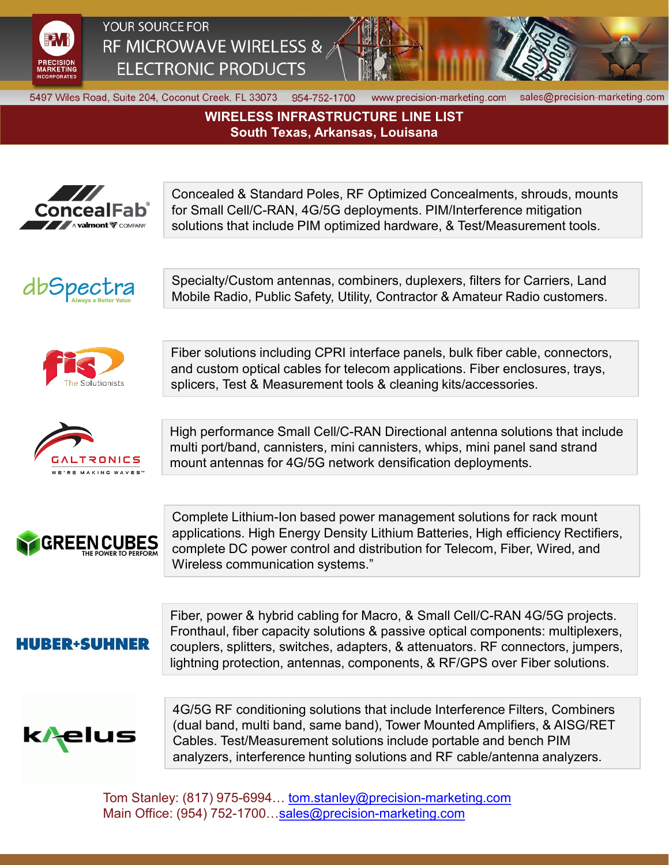

## YOUR SOURCE FOR RF MICROWAVE WIRELESS & **ELECTRONIC PRODUCTS**



5497 Wiles Road, Suite 204, Coconut Creek, FL 33073 954-752-1700

www.precision-marketing.com

sales@precision-marketing.com

**WIRELESS INFRASTRUCTURE LINE LIST South Texas, Arkansas, Louisana**



Concealed & Standard Poles, RF Optimized Concealments, shrouds, mounts for Small Cell/C-RAN, 4G/5G deployments. PIM/Interference mitigation solutions that include PIM optimized hardware, & Test/Measurement tools.



Specialty/Custom antennas, combiners, duplexers, filters for Carriers, Land Mobile Radio, Public Safety, Utility, Contractor & Amateur Radio customers.





Fiber solutions including CPRI interface panels, bulk fiber cable, connectors, and custom optical cables for telecom applications. Fiber enclosures, trays, splicers, Test & Measurement tools & cleaning kits/accessories.

High performance Small Cell/C-RAN Directional antenna solutions that include multi port/band, cannisters, mini cannisters, whips, mini panel sand strand mount antennas for 4G/5G network densification deployments.



Complete Lithium-Ion based power management solutions for rack mount applications. High Energy Density Lithium Batteries, High efficiency Rectifiers, complete DC power control and distribution for Telecom, Fiber, Wired, and Wireless communication systems."

## **HUBER+SUHNER**

Fiber, power & hybrid cabling for Macro, & Small Cell/C-RAN 4G/5G projects. Fronthaul, fiber capacity solutions & passive optical components: multiplexers, couplers, splitters, switches, adapters, & attenuators. RF connectors, jumpers, lightning protection, antennas, components, & RF/GPS over Fiber solutions.



4G/5G RF conditioning solutions that include Interference Filters, Combiners (dual band, multi band, same band), Tower Mounted Amplifiers, & AISG/RET Cables. Test/Measurement solutions include portable and bench PIM analyzers, interference hunting solutions and RF cable/antenna analyzers.

Tom Stanley: (817) 975-6994... [tom.stanley@precision-marketing.com](mailto:tom.stanley@precision-marketing.com) Main Office: (954) 752-1700...sales@precision-marketing.com